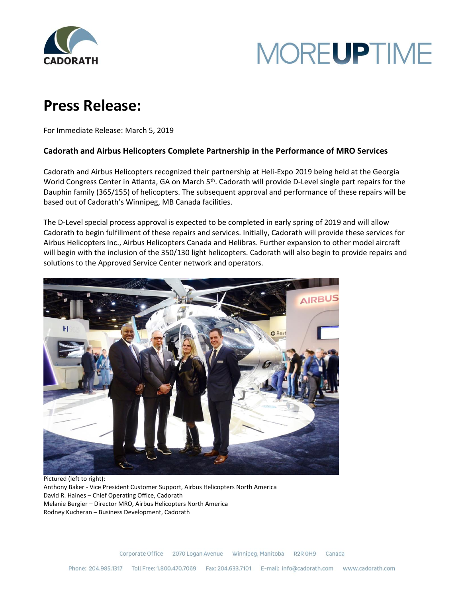



## **Press Release:**

For Immediate Release: March 5, 2019

## **Cadorath and Airbus Helicopters Complete Partnership in the Performance of MRO Services**

Cadorath and Airbus Helicopters recognized their partnership at Heli-Expo 2019 being held at the Georgia World Congress Center in Atlanta, GA on March 5<sup>th</sup>. Cadorath will provide D-Level single part repairs for the Dauphin family (365/155) of helicopters. The subsequent approval and performance of these repairs will be based out of Cadorath's Winnipeg, MB Canada facilities.

The D-Level special process approval is expected to be completed in early spring of 2019 and will allow Cadorath to begin fulfillment of these repairs and services. Initially, Cadorath will provide these services for Airbus Helicopters Inc., Airbus Helicopters Canada and Helibras. Further expansion to other model aircraft will begin with the inclusion of the 350/130 light helicopters. Cadorath will also begin to provide repairs and solutions to the Approved Service Center network and operators.



Pictured (left to right): Anthony Baker - Vice President Customer Support, Airbus Helicopters North America David R. Haines – Chief Operating Office, Cadorath Melanie Bergier – Director MRO, Airbus Helicopters North America Rodney Kucheran – Business Development, Cadorath